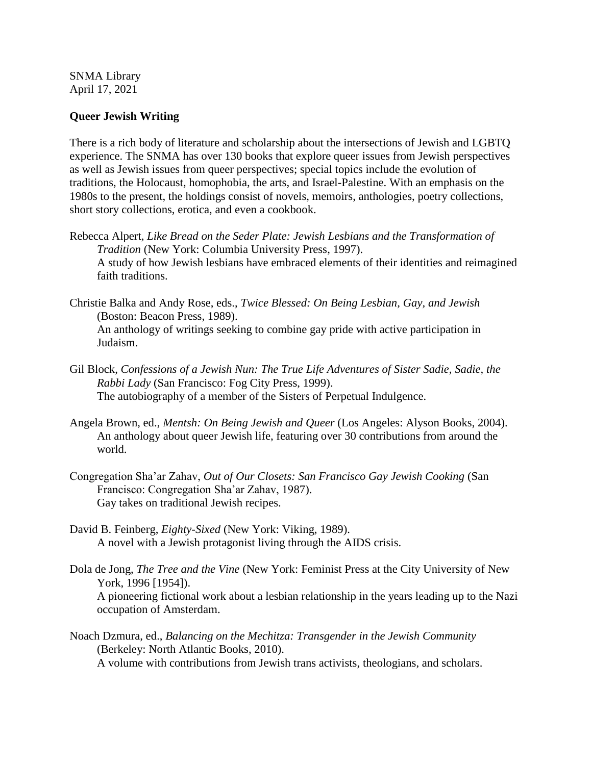SNMA Library April 17, 2021

## **Queer Jewish Writing**

There is a rich body of literature and scholarship about the intersections of Jewish and LGBTQ experience. The SNMA has over 130 books that explore queer issues from Jewish perspectives as well as Jewish issues from queer perspectives; special topics include the evolution of traditions, the Holocaust, homophobia, the arts, and Israel-Palestine. With an emphasis on the 1980s to the present, the holdings consist of novels, memoirs, anthologies, poetry collections, short story collections, erotica, and even a cookbook.

- Rebecca Alpert, *Like Bread on the Seder Plate: Jewish Lesbians and the Transformation of Tradition* (New York: Columbia University Press, 1997). A study of how Jewish lesbians have embraced elements of their identities and reimagined faith traditions.
- Christie Balka and Andy Rose, eds., *Twice Blessed: On Being Lesbian, Gay, and Jewish*  (Boston: Beacon Press, 1989). An anthology of writings seeking to combine gay pride with active participation in Judaism.
- Gil Block, *Confessions of a Jewish Nun: The True Life Adventures of Sister Sadie, Sadie, the Rabbi Lady* (San Francisco: Fog City Press, 1999). The autobiography of a member of the Sisters of Perpetual Indulgence.
- Angela Brown, ed., *Mentsh: On Being Jewish and Queer* (Los Angeles: Alyson Books, 2004). An anthology about queer Jewish life, featuring over 30 contributions from around the world.
- Congregation Sha'ar Zahav, *Out of Our Closets: San Francisco Gay Jewish Cooking* (San Francisco: Congregation Sha'ar Zahav, 1987). Gay takes on traditional Jewish recipes.
- David B. Feinberg, *Eighty-Sixed* (New York: Viking, 1989). A novel with a Jewish protagonist living through the AIDS crisis.
- Dola de Jong, *The Tree and the Vine* (New York: Feminist Press at the City University of New York, 1996 [1954]). A pioneering fictional work about a lesbian relationship in the years leading up to the Nazi occupation of Amsterdam.
- Noach Dzmura, ed., *Balancing on the Mechitza: Transgender in the Jewish Community*  (Berkeley: North Atlantic Books, 2010). A volume with contributions from Jewish trans activists, theologians, and scholars.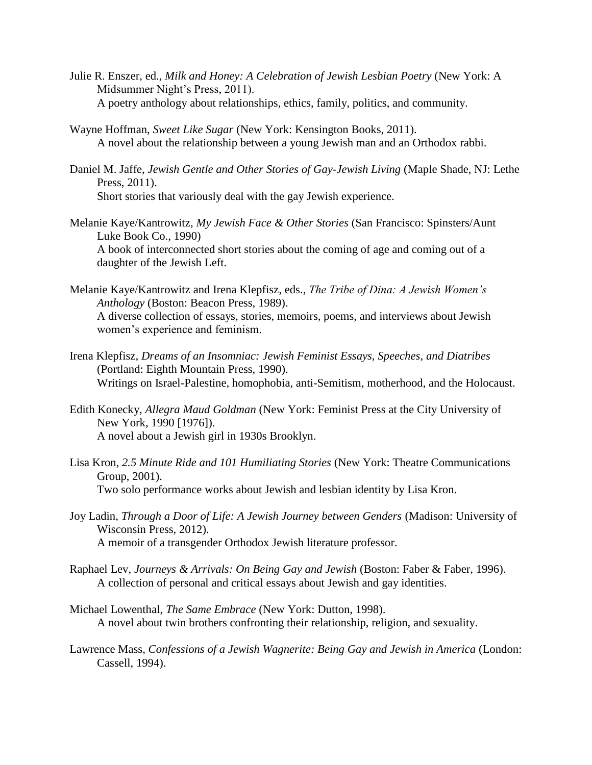- Julie R. Enszer, ed., *Milk and Honey: A Celebration of Jewish Lesbian Poetry* (New York: A Midsummer Night's Press, 2011). A poetry anthology about relationships, ethics, family, politics, and community.
- Wayne Hoffman, *Sweet Like Sugar* (New York: Kensington Books, 2011). A novel about the relationship between a young Jewish man and an Orthodox rabbi.
- Daniel M. Jaffe, *Jewish Gentle and Other Stories of Gay-Jewish Living* (Maple Shade, NJ: Lethe Press, 2011). Short stories that variously deal with the gay Jewish experience.
- Melanie Kaye/Kantrowitz, *My Jewish Face & Other Stories* (San Francisco: Spinsters/Aunt Luke Book Co., 1990) A book of interconnected short stories about the coming of age and coming out of a daughter of the Jewish Left.
- Melanie Kaye/Kantrowitz and Irena Klepfisz, eds., *The Tribe of Dina: A Jewish Women's Anthology* (Boston: Beacon Press, 1989). A diverse collection of essays, stories, memoirs, poems, and interviews about Jewish women's experience and feminism.
- Irena Klepfisz, *Dreams of an Insomniac: Jewish Feminist Essays, Speeches, and Diatribes*  (Portland: Eighth Mountain Press, 1990). Writings on Israel-Palestine, homophobia, anti-Semitism, motherhood, and the Holocaust.
- Edith Konecky, *Allegra Maud Goldman* (New York: Feminist Press at the City University of New York, 1990 [1976]). A novel about a Jewish girl in 1930s Brooklyn.
- Lisa Kron, *2.5 Minute Ride and 101 Humiliating Stories* (New York: Theatre Communications Group, 2001). Two solo performance works about Jewish and lesbian identity by Lisa Kron.
- Joy Ladin, *Through a Door of Life: A Jewish Journey between Genders* (Madison: University of Wisconsin Press, 2012). A memoir of a transgender Orthodox Jewish literature professor.
- Raphael Lev, *Journeys & Arrivals: On Being Gay and Jewish* (Boston: Faber & Faber, 1996). A collection of personal and critical essays about Jewish and gay identities.
- Michael Lowenthal, *The Same Embrace* (New York: Dutton, 1998). A novel about twin brothers confronting their relationship, religion, and sexuality.
- Lawrence Mass, *Confessions of a Jewish Wagnerite: Being Gay and Jewish in America* (London: Cassell, 1994).